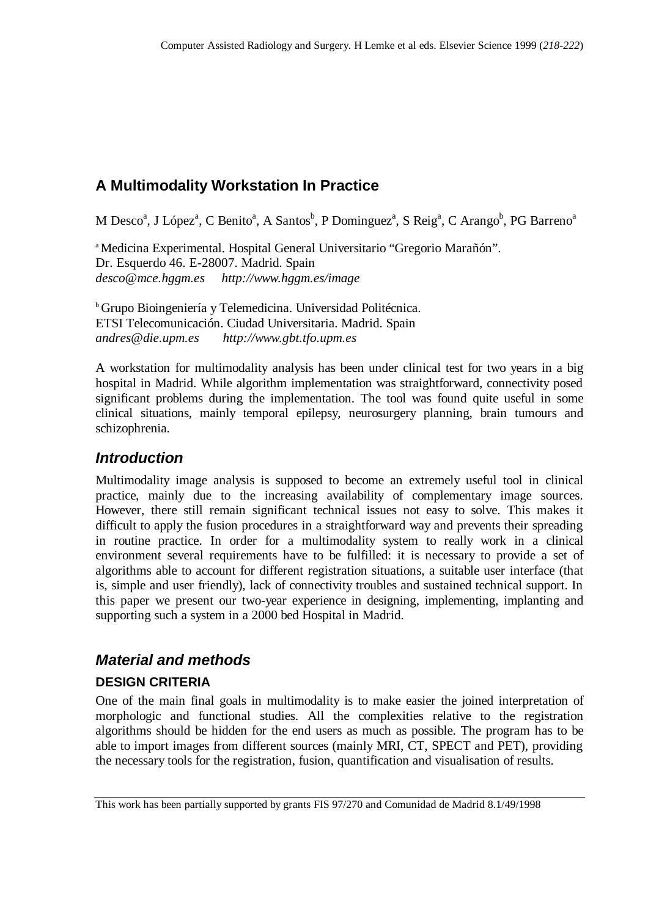# **A Multimodality Workstation In Practice**

M Desco<sup>a</sup>, J López<sup>a</sup>, C Benito<sup>a</sup>, A Santos<sup>b</sup>, P Dominguez<sup>a</sup>, S Reig<sup>a</sup>, C Arango<sup>b</sup>, PG Barreno<sup>a</sup>

<sup>a</sup> Medicina Experimental. Hospital General Universitario "Gregorio Marañón". Dr. Esquerdo 46. E-28007. Madrid. Spain *desco@mce.hggm.es http://www.hggm.es/image*

<sup>b</sup> Grupo Bioingeniería y Telemedicina. Universidad Politécnica. ETSI Telecomunicación. Ciudad Universitaria. Madrid. Spain *andres@die.upm.es http://www.gbt.tfo.upm.es*

A workstation for multimodality analysis has been under clinical test for two years in a big hospital in Madrid. While algorithm implementation was straightforward, connectivity posed significant problems during the implementation. The tool was found quite useful in some clinical situations, mainly temporal epilepsy, neurosurgery planning, brain tumours and schizophrenia.

### *Introduction*

Multimodality image analysis is supposed to become an extremely useful tool in clinical practice, mainly due to the increasing availability of complementary image sources. However, there still remain significant technical issues not easy to solve. This makes it difficult to apply the fusion procedures in a straightforward way and prevents their spreading in routine practice. In order for a multimodality system to really work in a clinical environment several requirements have to be fulfilled: it is necessary to provide a set of algorithms able to account for different registration situations, a suitable user interface (that is, simple and user friendly), lack of connectivity troubles and sustained technical support. In this paper we present our two-year experience in designing, implementing, implanting and supporting such a system in a 2000 bed Hospital in Madrid.

## *Material and methods*

### **DESIGN CRITERIA**

One of the main final goals in multimodality is to make easier the joined interpretation of morphologic and functional studies. All the complexities relative to the registration algorithms should be hidden for the end users as much as possible. The program has to be able to import images from different sources (mainly MRI, CT, SPECT and PET), providing the necessary tools for the registration, fusion, quantification and visualisation of results.

This work has been partially supported by grants FIS 97/270 and Comunidad de Madrid 8.1/49/1998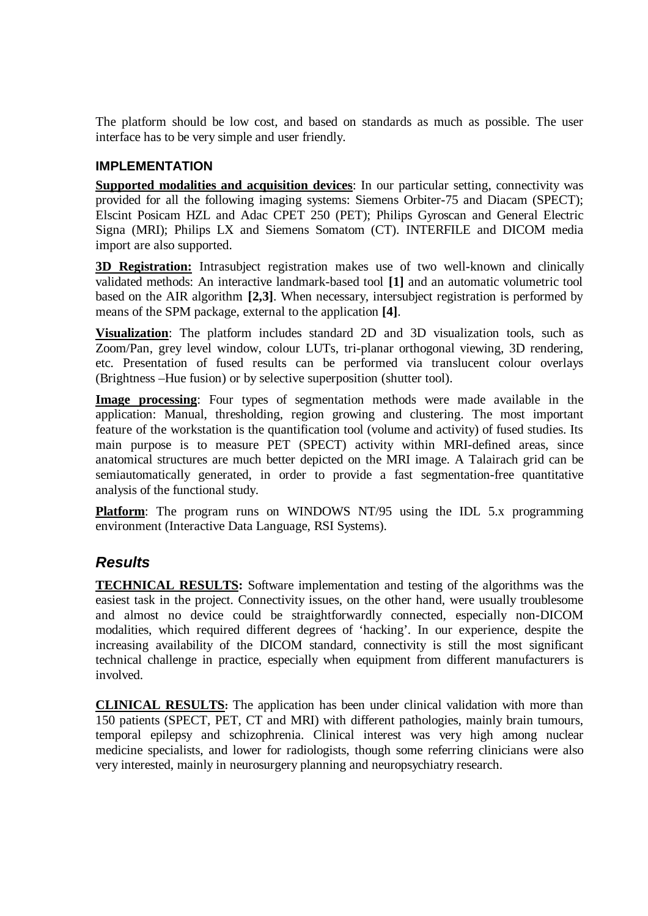The platform should be low cost, and based on standards as much as possible. The user interface has to be very simple and user friendly.

#### **IMPI FMFNTATION**

**Supported modalities and acquisition devices**: In our particular setting, connectivity was provided for all the following imaging systems: Siemens Orbiter-75 and Diacam (SPECT); Elscint Posicam HZL and Adac CPET 250 (PET); Philips Gyroscan and General Electric Signa (MRI); Philips LX and Siemens Somatom (CT). INTERFILE and DICOM media import are also supported.

**3D Registration:** Intrasubject registration makes use of two well-known and clinically validated methods: An interactive landmark-based tool **[1]** and an automatic volumetric tool based on the AIR algorithm **[2,3]**. When necessary, intersubject registration is performed by means of the SPM package, external to the application **[4]**.

**Visualization**: The platform includes standard 2D and 3D visualization tools, such as Zoom/Pan, grey level window, colour LUTs, tri-planar orthogonal viewing, 3D rendering, etc. Presentation of fused results can be performed via translucent colour overlays (Brightness –Hue fusion) or by selective superposition (shutter tool).

**Image processing**: Four types of segmentation methods were made available in the application: Manual, thresholding, region growing and clustering. The most important feature of the workstation is the quantification tool (volume and activity) of fused studies. Its main purpose is to measure PET (SPECT) activity within MRI-defined areas, since anatomical structures are much better depicted on the MRI image. A Talairach grid can be semiautomatically generated, in order to provide a fast segmentation-free quantitative analysis of the functional study.

**Platform:** The program runs on WINDOWS NT/95 using the IDL 5.x programming environment (Interactive Data Language, RSI Systems).

### *Results*

**TECHNICAL RESULTS:** Software implementation and testing of the algorithms was the easiest task in the project. Connectivity issues, on the other hand, were usually troublesome and almost no device could be straightforwardly connected, especially non-DICOM modalities, which required different degrees of 'hacking'. In our experience, despite the increasing availability of the DICOM standard, connectivity is still the most significant technical challenge in practice, especially when equipment from different manufacturers is involved.

**CLINICAL RESULTS:** The application has been under clinical validation with more than 150 patients (SPECT, PET, CT and MRI) with different pathologies, mainly brain tumours, temporal epilepsy and schizophrenia. Clinical interest was very high among nuclear medicine specialists, and lower for radiologists, though some referring clinicians were also very interested, mainly in neurosurgery planning and neuropsychiatry research.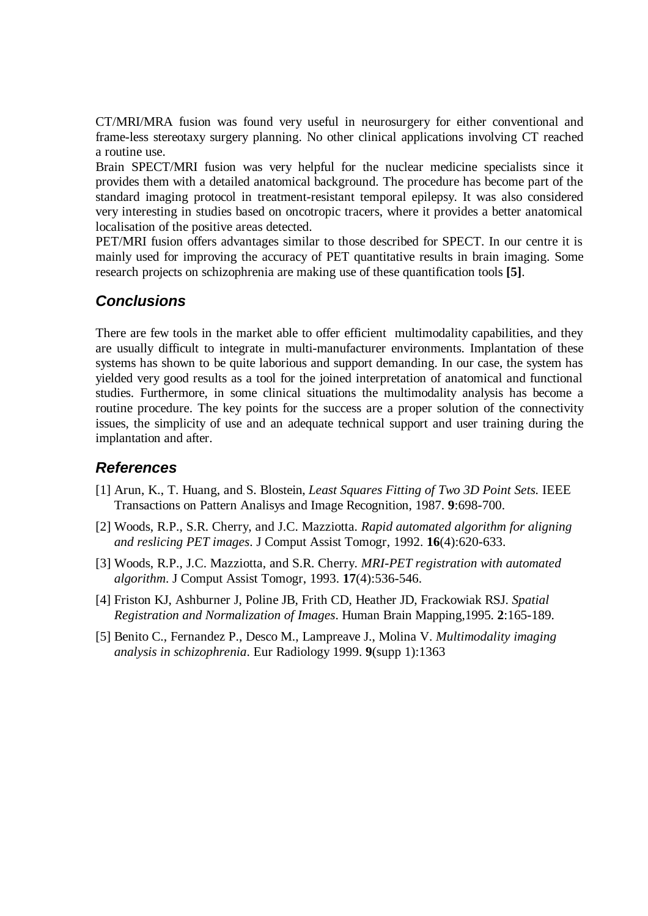CT/MRI/MRA fusion was found very useful in neurosurgery for either conventional and frame-less stereotaxy surgery planning. No other clinical applications involving CT reached a routine use.

Brain SPECT/MRI fusion was very helpful for the nuclear medicine specialists since it provides them with a detailed anatomical background. The procedure has become part of the standard imaging protocol in treatment-resistant temporal epilepsy. It was also considered very interesting in studies based on oncotropic tracers, where it provides a better anatomical localisation of the positive areas detected.

PET/MRI fusion offers advantages similar to those described for SPECT. In our centre it is mainly used for improving the accuracy of PET quantitative results in brain imaging. Some research projects on schizophrenia are making use of these quantification tools **[5]**.

### *Conclusions*

There are few tools in the market able to offer efficient multimodality capabilities, and they are usually difficult to integrate in multi-manufacturer environments. Implantation of these systems has shown to be quite laborious and support demanding. In our case, the system has yielded very good results as a tool for the joined interpretation of anatomical and functional studies. Furthermore, in some clinical situations the multimodality analysis has become a routine procedure. The key points for the success are a proper solution of the connectivity issues, the simplicity of use and an adequate technical support and user training during the implantation and after.

## *References*

- [1] Arun, K., T. Huang, and S. Blostein, *Least Squares Fitting of Two 3D Point Sets.* IEEE Transactions on Pattern Analisys and Image Recognition, 1987. **9**:698-700.
- [2] Woods, R.P., S.R. Cherry, and J.C. Mazziotta. *Rapid automated algorithm for aligning and reslicing PET images*. J Comput Assist Tomogr, 1992. **16**(4):620-633.
- [3] Woods, R.P., J.C. Mazziotta, and S.R. Cherry. *MRI-PET registration with automated algorithm*. J Comput Assist Tomogr, 1993. **17**(4):536-546.
- [4] Friston KJ, Ashburner J, Poline JB, Frith CD, Heather JD, Frackowiak RSJ. *Spatial Registration and Normalization of Images*. Human Brain Mapping,1995. **2**:165-189.
- [5] Benito C., Fernandez P., Desco M., Lampreave J., Molina V. *Multimodality imaging analysis in schizophrenia*. Eur Radiology 1999. **9**(supp 1):1363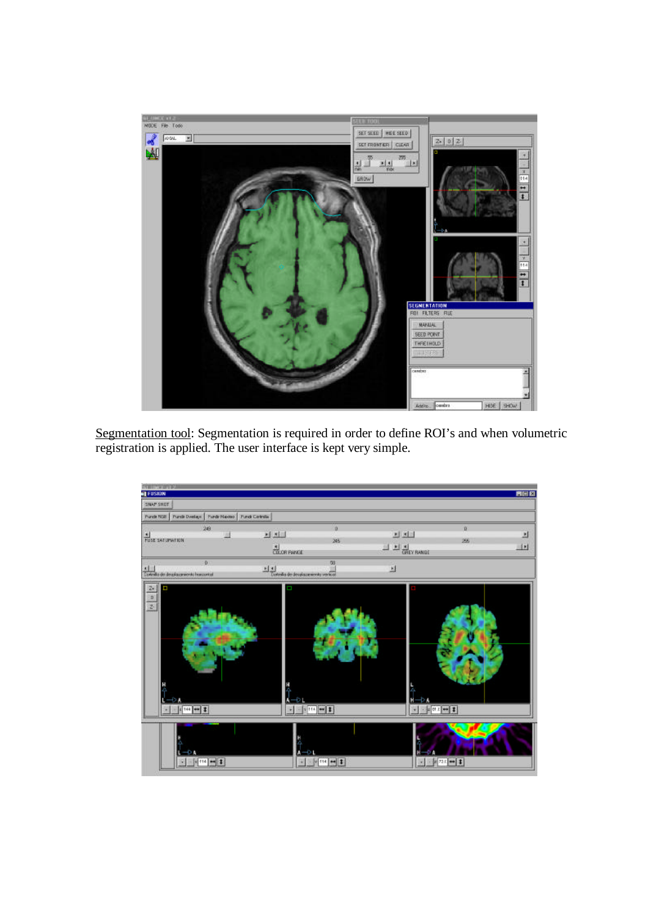

Segmentation tool: Segmentation is required in order to define ROI's and when volumetric registration is applied. The user interface is kept very simple.

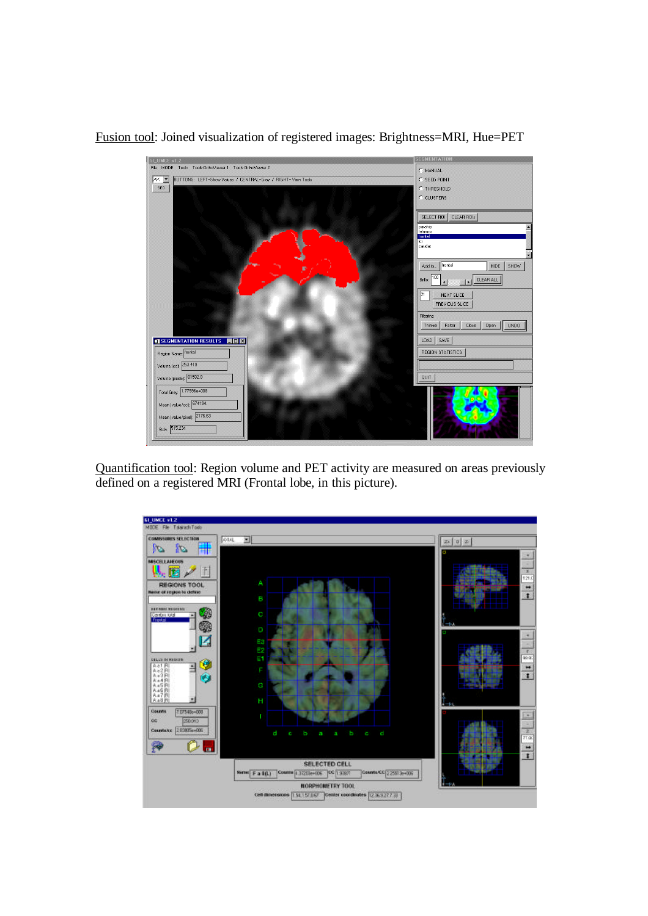

Fusion tool: Joined visualization of registered images: Brightness=MRI, Hue=PET

Quantification tool: Region volume and PET activity are measured on areas previously defined on a registered MRI (Frontal lobe, in this picture).